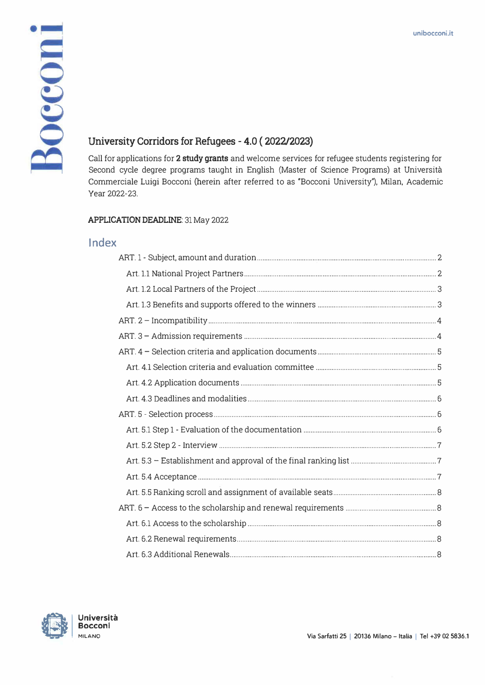# Bocconi

# **University Corridors for Refugees - 4.0 ( 2022/2023)**

Call for applications for 2 study grants and welcome services for refugee students registering for Second cycle degree programs taught in English (Master of Science Programs) at Università Commerciale Luigi Bocconi (herein after referred to as "Bocconi University"), Milan, Academic Year 2022-23.

#### **APPLICATION DEADLINE:** 31 May 2022

# **lndex**

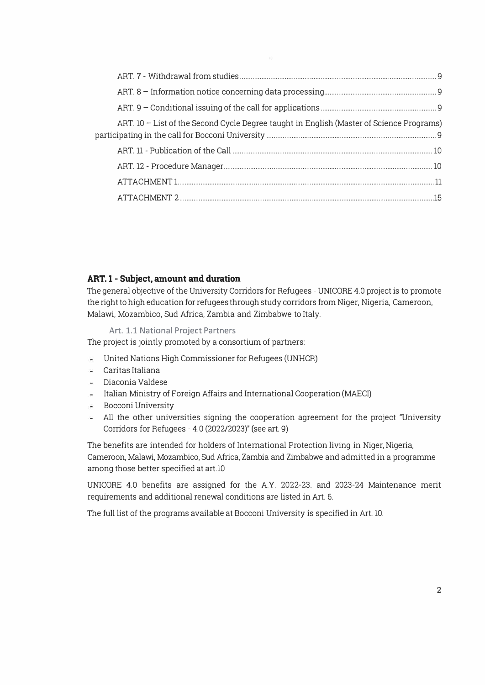| ART. 10 - List of the Second Cycle Degree taught in English (Master of Science Programs) |  |
|------------------------------------------------------------------------------------------|--|
|                                                                                          |  |
|                                                                                          |  |
|                                                                                          |  |
|                                                                                          |  |

## **ART. 1 - Subject, amount and duration**

The general objective of the University Corridors for Refugees - UNICORE 4.0 project is to promote the right to high education for refugees through study corridors from Niger, Nigeria, Cameroon, Malawi, Mozambico, Sud Africa, Zambia and Zimbabwe to Italy.

**Art. 1.1 National Project Partners** 

The project is jointly promoted by a consortium of partners:

- **United Nations High Commissioner for Refugees (UNHCR)**
- Caritas Italiana  $\sim$
- Diaconia Valdese
- Italian Ministry of Foreign Affairs and Intemational Cooperation (MAECI)
- Bocconi University
- All the other universities signing the cooperation agreement for the project "University ig. Corridors far Refugees - 4.0 (2022/2023)" (see art. 9)

The benefits are intended for holders of International Protection living in Niger, Nigeria, Cameroon, Malawi, Mozambico, Sud Africa, Zambia and Zimbabwe and admitted in a programme among those better specified at art.10

UNICORE 4.0 benefits are assigned for the A.Y. 2022-23. and 2023-24 Maintenance merit requirements and additional renewal conditions are listed in Art. 6.

The full list of the programs available at Bocconi University is specified in Art. 10.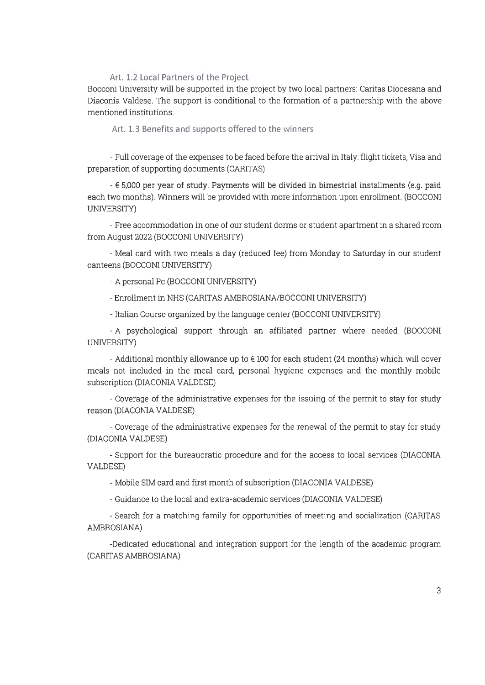#### Art. 1.2 Local Partners of the Project

Bocconi University will be supported in the project by two local partners: Caritas Diocesana and Diaconia Valdese. The support is conditional to the formation of a partnership with the above mentioned institutions

Art. 1.3 Benefits and supports offered to the winners

- Full coverage of the expenses to be faced before the arrival in Italy: flight tickets, Visa and preparation of supporting documents (CARITAS)

-  $\epsilon$  5,000 per year of study. Payments will be divided in bimestrial installments (e.g. paid each two months). Winners will be provided with more information upon enrollment. (BOCCONI UNIVERSITY)

- Free accommodation in one of our student dorms or student apartment in a shared room from August 2022 (BOCCONI UNIVERSITY)

- Meal card with two meals a day (reduced fee) from Monday to Saturday in our student canteens (BOCCONI UNIVERSITY)

- A personal Pc (BOCCONI UNIVERSITY)

- Enrollment in NHS (CARITAS AMBROSIANA/BOCCONI UNIVERSITY)

- Italian Course organized by the language center (BOCCONI UNIVERSITY)

- A psychological support through an affiliated partner where needed (BOCCONI UNIVERSITY)

- Additional monthly allowance up to  $\epsilon$  100 for each student (24 months) which will cover meals not included in the meal card, personal hygiene expenses and the monthly mobile subscription (DIACONIA VALDESE)

- Coverage of the administrative expenses for the issuing of the permit to stay for study reason (DIACONIA VALDESE)

- Coverage of the administrative expenses for the renewal of the permit to stay for study (DIACONIA VALDESE)

- Support for the bureaucratic procedure and for the access to local services (DIACONIA VALDESE)

- Mobile SIM card and first month of subscription (DIACONIA VALDESE)

- Guidance to the local and extra-academic services (DIACONIA VALDESE)

- Search for a matching family for opportunities of meeting and socialization (CARITAS AMBROSIANA)

-Dedicated educational and integration support for the length of the academic program (CARITAS AMBROSIANA)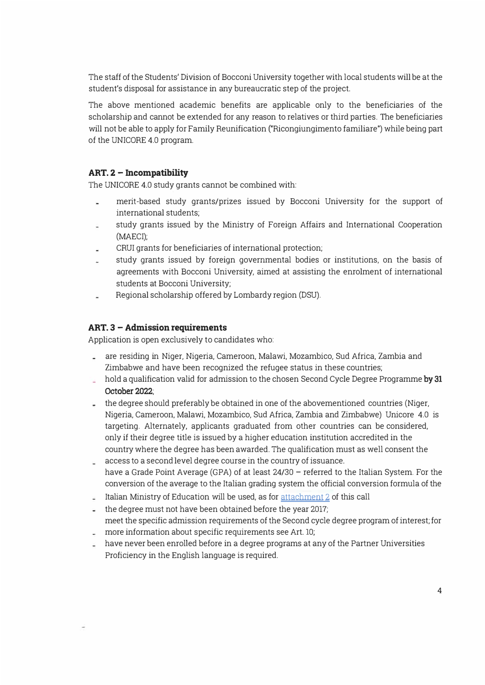The staff of the Students' Division of Bocconi University together with local students will be at the student's disposal for assistance in any bureaucratic step of the project.

The above mentioned academic benefits are applicable only to the beneficiaries of the scholarship and cannot be extended for any reason to relatives or third parties. The beneficiaries will not be able to apply for Family Reunification ("Ricongiungimento familiare") while being part of the UNICORE 4.0 program.

#### **ART. 2 - Incompatibility**

The UNICORE 4.0 study grants cannot be combined with:

- merit-based study grants/prizes issued by Bocconi University for the support of intemational students;
- study grants issued by the Ministry of Foreign Affairs and Intemational Cooperation (MAECI);
- CRUI grants for beneficiaries of intemational protection;
- study grants issued by foreign govemmental bodies or institutions, on the basis of agreements with Bocconi University, aimed at assisting the enrolment of intemational students at Bocconi University;
- Regional scholarship offered by Lombardy region (DSU).

#### **ART. 3 - Admission requirements**

Application is open exclusively to candidates who:

- are residing in Niger, Nigeria, Cameroon, Malawi, Mozambico, Sud Africa, Zambia and  $\mathbb{R}^{\mathbb{Z}}$ Zimbabwe and have been recognized the refugee status in these countries;
- hold a qualification valid for admission to the chosen Second Cycle Degree Programme by 31 **October 2022;**
- the degree should preferably be obtained in one of the abovementioned countries (Niger, Nigeria, Cameroon, Malawi, Mozambico, Sud Africa, Zambia and Zimbabwe) Unicore 4.0 is targeting. Altemately, applicants graduated from other countries can be considered, only if their degree title is issued by a higher education institution accredited in the country where the degree has been awarded. The qualification must as well consent the
- access to a second level degree course in the country of issuance. have a Grade Point Average (GPA) of at least 24/30 - referred to the Italian System. For the conversion of the average to the Italian grading system the official conversion formula of the
- Italian Ministry of Education will be used, as for  $\frac{attachment}{2}$  of this call
- $\frac{1}{2}$  the degree must not have been obtained before the year 2017; meet the specific admission requirements of the Second cycle degree program of interest; for
- more information about specific requirements see Art. 10;
- have never been enrolled before in a degree programs at any of the Partner Universities Proficiency in the English language is required.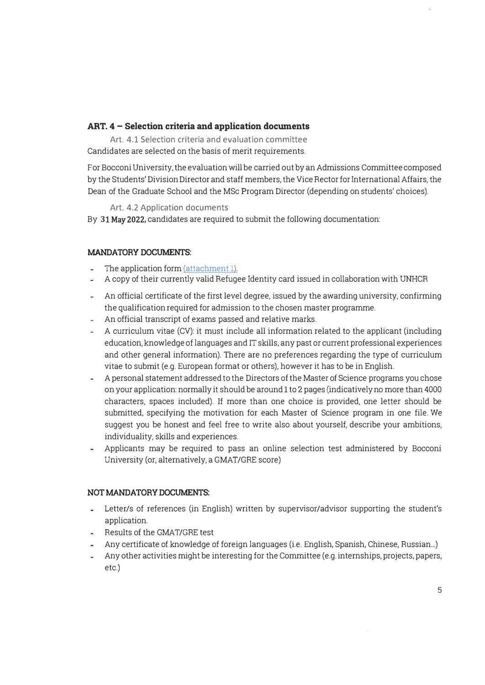## **ART. 4 - Selection criteria and application docwnents**

**Art. 4.1 Selection criteria and evaluation committee**  Candidates are selected on the basis of merit requirements.

For Bocconi University, the evaluation will be carried out by an Admissions Committee composed by the Students' Division Director and staff members, the Vice Rector for International Affairs, the Dean of the Graduate School and the MSc Program Director (depending on students' choices).

**Art. 4.2 Application documents** 

By **3**1 May 2022**,** candidates are required to submit the following documentation:

## **MANDATORY DOCUMENTS:**

- The application form (attachment 1).
- A copy of their currently valid Refugee Identity card issued in collaboration with UNHCR œ.
- An official certificate of the first level degree, issued by the awarding university, confirming the qualification required for admission to the chosen master programme.
- An officiai transcript of exams passed and relative marks.
- A curriculum vitae (CV): it must include all information related to the applicant (including education, knowledge of languages and IT skills, any past or current professional experiences and other generai information). There are no preferences regarding the type of curriculum vitae to subrnit (e.g. European format or others), however it has to be in English.
- A personal statement addressed to the Directors of the Master of Science programs you chose on your application: normally it should be around 1 to 2 pages (indicatively no more than 4000 characters, spaces included). If more than one choice is provided, one letter should be submitted, specifying the motivation for each Master of Science program in one file. We suggest you be honest and feel free to write also about yourself, describe your ambitions, individuality, skills and experiences.
- Applicants may be required to pass an online selection test administered by Bocconi University (or, alternatively, a GMAT/GRE score)

#### **NOT MANDATORY DOCUMENTS:**

- Letter/s of references (in English) written by supervisor/advisor supporting the student's application.
- Results of the GMAT/GRE test
- Any certificate of knowledge of foreign languages (i.e. English, Spanish, Chinese, Russian ... )
- Any other activities might be interesting for the Committee (e.g. internships, projects, papers, etc.)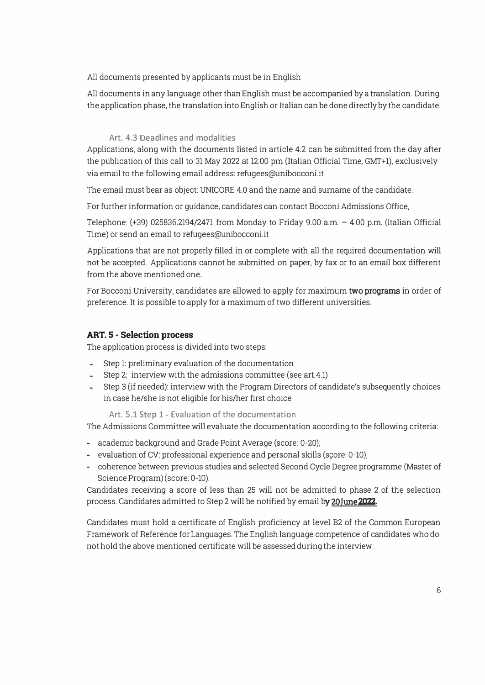All documents presented by applicants must be in English

All documents in any language other than English must be accompanied by a translation. During the application phase, the translation into English or Italian can be done directly by the candidate.

#### **Art. 4.3 Deadlines and modalities**

Applications, along with the documents listed in article 4.2 can be submitted from the day after the publication of this call to 31 May 2022 at 12:00 pm (Italian Official Time, GMT+1), exclusively via email to the fallowing email address: refugees@unibocconi.it

The email must bear as object: UNICORE 4.0 and the name and surname of the candidate.

For further information or guidance, candidates can contact Bocconi Admissions Office,

Telephone: (+39) 025836.2194/2471 from Monday to Friday 9.00 a.m. - 4.00 p.m. (Italian Officia! Time) or send an email to refugees@unibocconi.it

Applications that are not properly filled in or complete with all the required documentation will not be accepted. Applications cannot be submitted on paper, by fax or to an email box different from the above mentioned one.

Far Bocconi University, candidates are allowed to apply far maximum **two programs** in arder of preference. It is possible to apply for a maximum of two different universities.

#### **ART. 5 - Selection process**

The application process is divided into two steps:

- Step 1: preliminary evaluation of the documentation
- Step 2: interview with the admissions committee (see art.4.1)
- Step 3 (if needed): interview with the Program Directors of candidate's subsequently choices in case he/she is not eligible for his/her first choice

**Art. 5.1 Step 1 - Evaluation of the documentation** 

The Admissions Committee will evaluate the documentation according to the fallowing criteria:

- academic background and Grade Point Average (score: 0-20);
- evaluation of CV: professional experience and personal skills (score: 0-10);
- coherence between previous studies and selected Second Cycle Degree programme (Master of Science Program) (score: 0-10).

Candidates receiving a score of less than 25 will not be admitted to phase 2 of the selection process. Candidates admitted to Step 2 will be notified by email by 20 **J**une 2022.

Candidates must hold a certificate of English proficiency at level B2 of the Common European Framework of Reference far Languages. The English language competence of candidates who do nothold the above mentioned certificate will be assessedduring the interview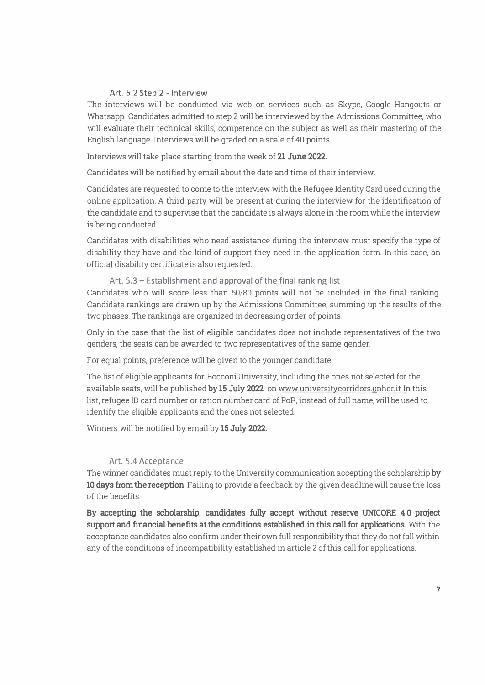#### **Art. 5.2 Step 2 - lnterview**

The interviews will be conducted via web on services such as Skype, Google Hangouts or Whatsapp. Candidates admitted to step 2 will be interviewed by the Admissions Committee, who will evaluate their technical skills, competence on the subject as well as their mastering of the English language. Interviews will be graded on a scale of 40 points.

Interviews will take place starting from the week of **21 June 2022.** 

Candidates will be notified by email about the date and time of their interview.

Candidates are requested to come to the interview withthe Refugee Identity Cardused during the online application. A third party will be present at during the interview for the identification of the candidate and to supervise that the candidate is always alone in the roomwhile the interview is being conducted.

Candidates with disabilities who need assistance during the interview must specify the type of disability they have and the kind of support they need in the application form. In this case, an officia! disability certificate is also requested.

Art. 5.3 – Establishment and approval of the final ranking list Candidates who will score less than 50/80 points will not be included in the final ranking. Candidate rankings are drawn up by the Admissions Committee, summing up the results of the two phases. The rankings are organized in decreasing order of points.

Only in the case that the list of eligible candidates does not include representatives of the two genders, the seats can be awarded to two representatives of the same gender.

For equal points, preference will be given to the younger candidate.

The list of eligible applicants for Bocconi University, including the ones not selected for the available seats, will be published **by 1<sup>5</sup> July 2022** onwww.universitycorridors.unhcr.it In this list, refugee ID card number or ration number card of PoR, instead of full name, will be used to identify the eligible applicants and the ones not selected.

Winners will be notified by email by **1<sup>5</sup> July 2022.** 

#### Art. 5.4 Acceptance

Thewinner candidates must reply to the University communication accepting the scholarship **by 10 days from the reception.** Failing to previde a feedback by the given deadline will cause the loss of the benefits.

**By accepting the scholarship, candidates fully accept without reserve UNICORE 4.0 project support and financial benefits at the conditions established in this call for applications.** With the acceptance candidates also confirm under theirown full responsibility that they do not fall within any of the conditions of incompatibility established in article 2 of this call for applications.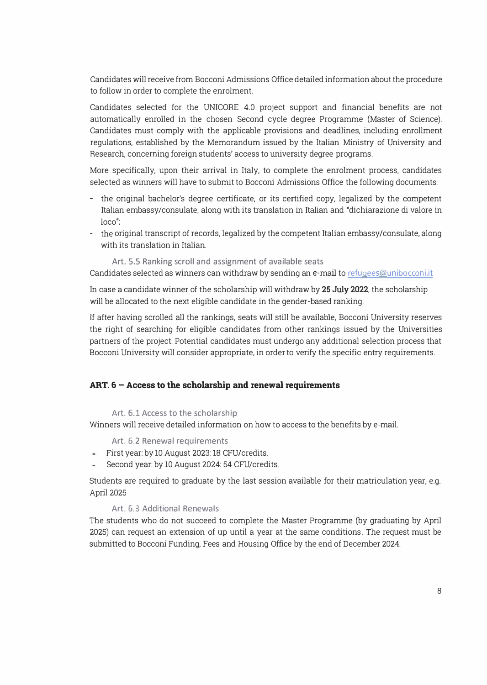Candidates will receive from Bocconi Admissions Office detailed information about the procedure to follow in arder to complete the enrolment.

Candidates selected for the UNICORE 4.0 project support and financial benefits are not automatically enrolled in the chosen Second cycle degree Programme (Master of Science). Candidates must comply with the applicable provisions and deadlines, including enrollment regulations, established by the Memorandum issued by the Italian Ministry of University and Research, conceming foreign students' access to university degree programs.

More specifically, upon their arrival in Italy, to complete the enrolment process, candidates selected as winners will have to submit to Bocconi Adrnissions Office the following documents:

- the original bachelor's degree certificate, or its certified copy, legalized by the competent Italian embassy/consulate, along with its translation in Italian and "dichiarazione di valore in loco";
- the original transcript of records, legalized by the competent Italian embassy/consulate, along with its translation in Italian.

Art. 5.5 Ranking scroll and assignment of available seats Candidates selected as winners can withdraw by sending an e-mail to refugees@unibocconi.it

In case a candidate winner of the scholarship will withdraw by **25** July **2022,** the scholarship will be allocated to the next eligible candidate in the gender-based ranking.

If after having scrolled all the rankings, seats will still be available, Bocconi University reserves the right of searching tor eligible candidates from other rankings issued by the Universities partners of the project. Potential candidates must undergo any additional selection process that Bocconi University will consider appropriate, in arderto verify the specific entry requirements.

## **ART. 6 - Access to the scholarship and renewal requirements**

#### Art. 6.1 Access to the scholarship

Winners will receive detailed information on how to access to the benefits by e-mail.

Art. 6.2 Renewal requirements

- First year: by 10 August 2023: 18 CFU/credits. îн.
- Second year: by 10 August 2024: 54 CFU/credits.

Students are required to graduate by the last session available for their matriculation year, e.g. April 2025

#### Art, 6.3 Additional Renewals

The students who do not succeed to complete the Master Programme (by graduating by April 2025) can request an extension of up until a year at the same conditions. The request must be submitted to Bocconi Funding, Fees and Housing Office by the end of December 2024.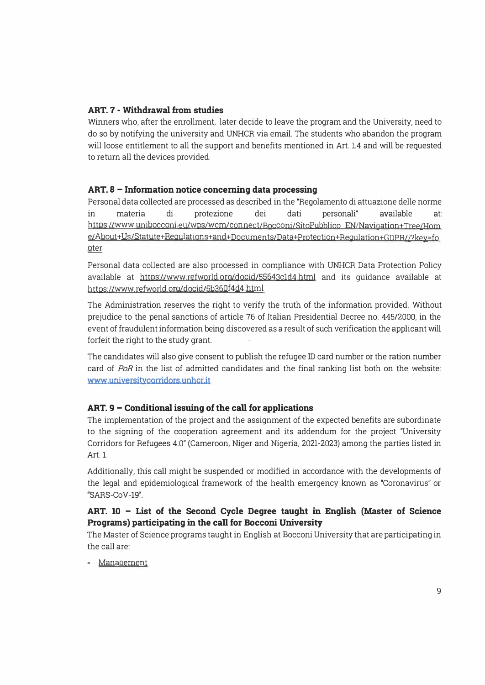# **ART. 7 - Withdrawal from studies**

Winners who, after the enrollment, later decide to leave the program and the University, need to do so by notifying the university and UNHCR via email. The students who abandon the program will loose entitlement to all the support and benefits mentioned in Art. 1.4 and will be requested to return all the devices provided.

## **ART. 8 - Information notice concerning data processing**

Persona! data collected are processed as described in the "Regolamento di attuazione delle norme in materia di protezione dei dati personali" available at: https://www.unibocconi.eu/wps/wcm/connect/Bocconi/SitoPubblico EN/Navigation+ Tree/Hom e/About+Us/Statute+Requlations+and+Documents/Data+Protection+Regulation+GDPR//?key=fo **oter** 

Persona! data collected are also processed in compliance with UNHCR Data Protection Policy available at https://www.refworld.org/docid/55643cld4 html and its guidance available at https://www.refworld.org/docid/5b360f4d4.html

The Administration reserves the right to verify the truth of the information provided. Without prejudice to the penal sanctions of article 76 of Italian Presidential Decree no. 445/2000, in the event of fraudulent information being discovered as a result of such verification the applicant will forfeit the right to the study grant.

The candidates will also give consent to publish the refugee ID card number or the ration number card of *PoR* in the list of admitted candidates and the final ranking list both on the website: **www.universitvcorridors.unhcr.it** 

## **ART. 9 - Conditional issuing of the cali for applications**

The implementation of the project and the assignment of the expected benefits are subordinate to the signing of the cooperation agreement and its addendum for the project "University Corridors for Refugees 4.0" (Cameroon, Niger and Nigeria, 2021-2023) among the parties listed in Art. l.

Additionally, this call might be suspended or modified in accordance with the developments of the legal and epidemiologica! framework of the health emergency known as "Coronavirus" or "SARS-CoV-19".

# **ART. 10 - List of the Second Cycle Degree taught in English (Master of Science Programs) participating in the cali for Bocconi University**

The Master of Science programs taught in English at Bocconi University that are participating in the call are:

- Management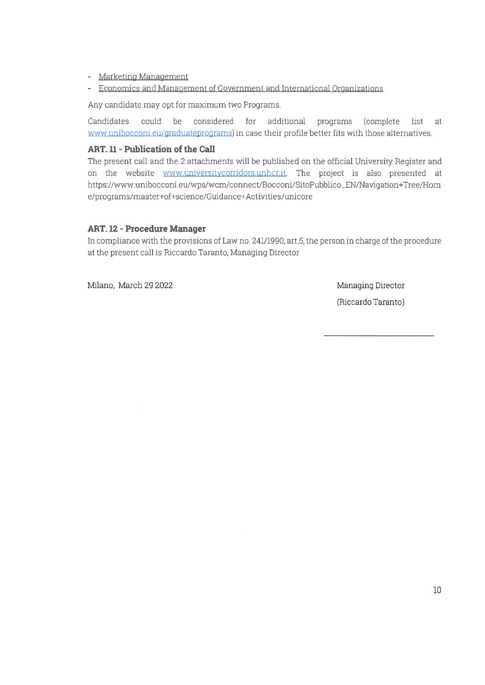## - Marketing Management

- Economics and Management of Government and International Organizations

Any candidate may opt for maximum two Programs.

Candidates could be considered for additional programs (complete list at www.unibocconi.eu/graduateprograms) in case their profile better fits with those alternatives.

## **ART. 11 - Publication of the Call**

The present call and the 2 attachments will be published on the official University Register and on the website www.universitycorridors.unhcr.it. The project is also presented at https://www.unibocconi.eu/wps/wcm/connect/Bocconi/SitoPubblico\_EN/Navigation+Tree/Hom e/programs/master+of+science/Guidance+Activities/unicore

## **ART. 12 - Procedure Manager**

In compliance with the provisions of Law no. 241/1990, art.5, the person in charge of the procedure at the present call is Riccardo Taranto, Managing Director

Milano, March 29 2022

Managing Director

(Riccardo Taranto)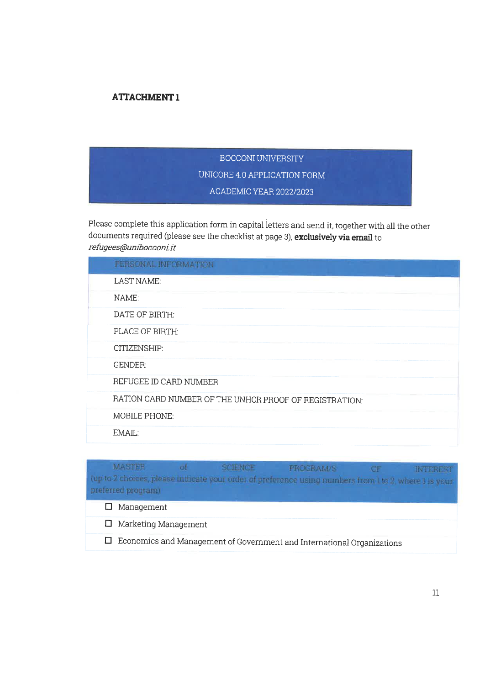# **ATTACHMENT1**

# BOCCONI UNIVERSITY UNICORE 4.0 APPLICATION FORM ACADEMIC YEAR 2022/2023

Please complete this application form in capital letters and send it, together with all the other documents required (please see the checklist at page 3), exclusively via email to refugees@unibocconi.it

| PERSONAL INFORMATION                                   |
|--------------------------------------------------------|
| LAST NAME:                                             |
| NAME:                                                  |
| DATE OF BIRTH:                                         |
| PLACE OF BIRTH:                                        |
| CITIZENSHIP:                                           |
| <b>GENDER:</b>                                         |
| REFUGEE ID CARD NUMBER:                                |
| RATION CARD NUMBER OF THE UNHCR PROOF OF REGISTRATION: |
| <b>MOBILE PHONE:</b>                                   |
| $EMAII$ .                                              |

#### **MASTER** of. SCIENCE PROGRAM/S OF **INTEREST** (up to 2 choices, please indicate your order of preference using numbers from 1 to 2, where 1 is your preferred program)  $\Box$  Management  $\Box$  Marketing Management  $\Box$  Economics and Management of Government and International Organizations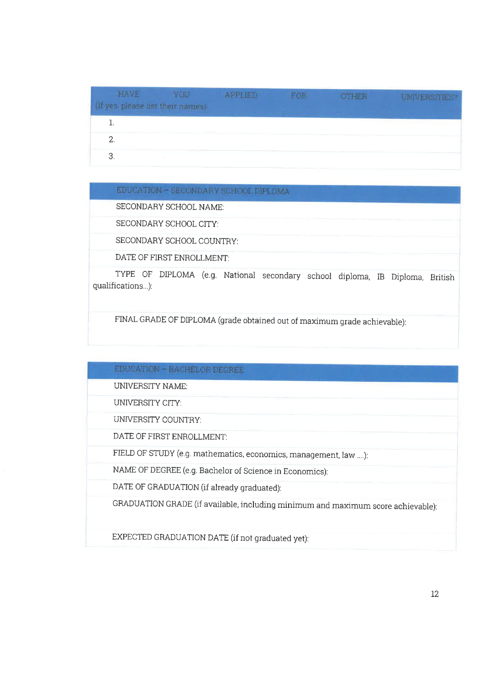| <b>HAVE</b><br><b>YOU</b><br>yes, please list their names) | <b>APPLIED</b> | FOR | OTHER | <b>UNIVERSITIES?</b> |
|------------------------------------------------------------|----------------|-----|-------|----------------------|
|                                                            |                |     |       |                      |
|                                                            |                |     |       |                      |
| З.                                                         |                |     |       |                      |

# EDUCATION - SECONDARY SCHOOL DIPLOMA

SECONDARY SCHOOL NAME:

SECONDARY SCHOOL CITY:

SECONDARY SCHOOL COUNTRY:

DATE OF FIRST ENROLLMENT:

TYPE OF DIPLOMA (e.g. National secondary school diploma, IB Diploma, British qualifications...):

FINAL GRADE OF DIPLOMA (grade obtained out of maximum grade achievable):

## EDUCATION - BACHELOR DEGREE

**UNIVERSITY NAME:** 

UNIVERSITY CITY:

UNIVERSITY COUNTRY:

DATE OF FIRST ENROLLMENT:

FIELD OF STUDY (e.g. mathematics, economics, management, law ....):

NAME OF DEGREE (e.g. Bachelor of Science in Economics):

DATE OF GRADUATION (if already graduated):

GRADUATION GRADE (if available, including minimum and maximum score achievable):

EXPECTED GRADUATION DATE (if not graduated yet):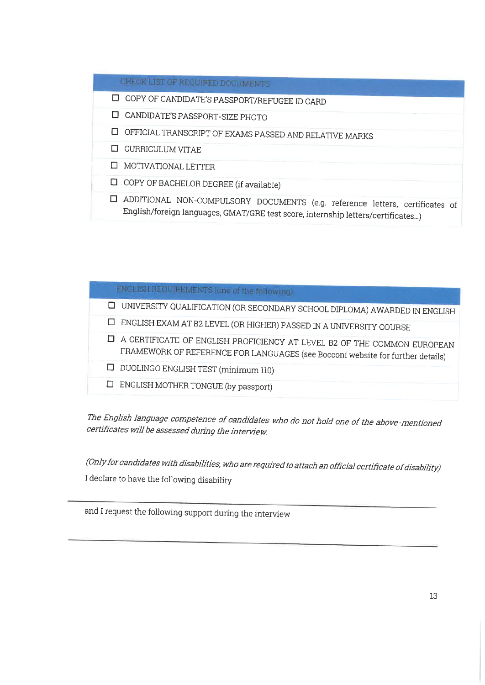# CHECK LIST OF REQUIRED DOCUMENTS

- □ COPY OF CANDIDATE'S PASSPORT/REFUGEE ID CARD
- □ CANDIDATE'S PASSPORT-SIZE PHOTO
- $\Box$  OFFICIAL TRANSCRIPT OF EXAMS PASSED AND RELATIVE MARKS
- **C CURRICULUM VITAE**
- **O** MOTIVATIONAL LETTER
- $\Box$  COPY OF BACHELOR DEGREE (if available)
- □ ADDITIONAL NON-COMPULSORY DOCUMENTS (e.g. reference letters, certificates of English/foreign languages, GMAT/GRE test score, internship letters/certificates...)

| <b>ENGLISH REQUIREMENTS (one of the following)</b>                             |
|--------------------------------------------------------------------------------|
| UNIVERSITY QUALIFICATION (OR SECONDARY SCHOOL DIPLOMA) AWARDED IN ENGLISH<br>ப |
| □ ENGLISH EXAM AT B2 LEVEL (OR HIGHER) PASSED IN A UNIVERSITY COURSE           |
| A CERTIFICATE OF ENGLISH PROFICIENCY AT LEVEL B2 OF THE COMMON EUROPEAN        |
| FRAMEWORK OF REFERENCE FOR LANGUAGES (see Bocconi website for further details) |
| $\Box$ DUOLINGO ENGLISH TEST (minimum 110)                                     |
| ENGLISH MOTHER TONGUE (by passport)<br>□                                       |

The English language competence of candidates who do not hold one of the above-mentioned certificates will be assessed during the interview.

(Only for candidates with disabilities, who are required to attach an official certificate of disability) I declare to have the following disability

and I request the following support during the interview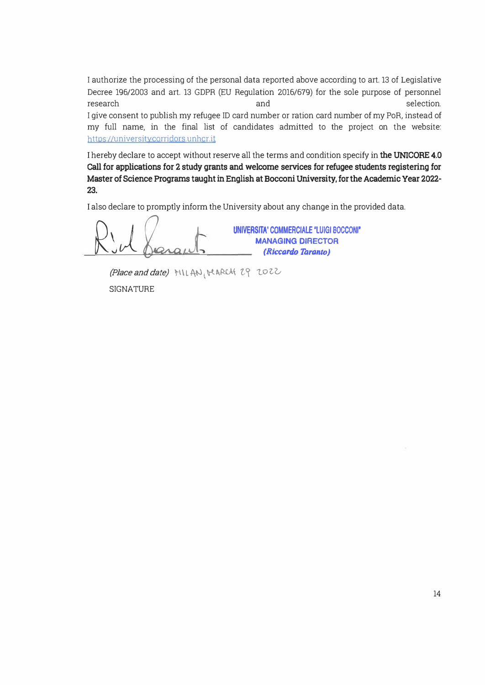I authorize the processing of the personal data reported above according to art. 13 of Legislative Decree 196/2003 and art. 13 GDPR (EU Regulation 2016/679) for the sole purpose of personnel research and selection. I give consent to publish my refugee ID card number or ration card number of my PoR, instead of my full name, in the final list of candidates admitted to the project on the website: https://universitycorridors.unhcr.it

I hereby declare to accept without reserve all the terms and condition specify in **the UNICORE 4.0 Call for applications for 2 study grants and welcome services for refugee students registering for Master of Science Programs taught** in **English at Bocconi University, for the Academic Year 2022-** 23.

I also declare to promptly inform the University about any change in the provided data.

Rid Sarants **UNIVçRSITA' COMMERCIALE "LUIGI BOCCONI' MANAGING DIRECTOR** *(Riccardo Taranto)* 

*(Place and date)* **MILAN, MARCH 29 2022 SIGNATURE**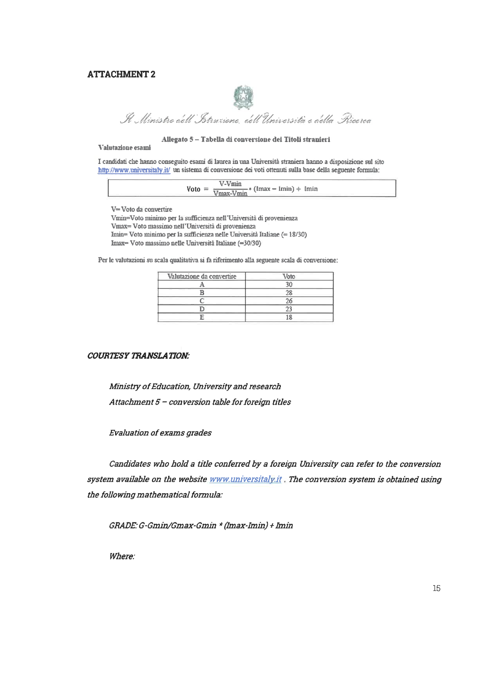#### **ATTACHMENT 2**



# Il Ministro dell'Istruzione, dell'Università e della Picerca

#### Allegato 5 - Tabella di conversione dei Titoli stranieri

#### Valutazione esami

I candidati che hanno conseguito esami di laurea in una Università straniera hanno a disposizione sul sito http://www.universitaly.it/ un sistema di conversione dei voti ottenuti sulla base della seguente formula:

|  | $\text{Voto} =$ | $\frac{\text{V-Vmin}}{\text{Vmax-Vmin}}$ (lmax – lmin) + lmin |
|--|-----------------|---------------------------------------------------------------|
|--|-----------------|---------------------------------------------------------------|

V= Voto da convertire

Vmin=Voto minimo per la sufficienza nell'Università di provenienza Vmax= Voto massimo nell'Università di provenienza Imin= Voto minimo per la sufficienza nelle Università Italiane (= 18/30) Imax= Voto massimo nelle Università Italiane (=30/30)

Per le valutazioni su scala qualitativa si fa riferimento alla seguente scala di conversione:

| Valutazione da convertire | Voto |  |
|---------------------------|------|--|
|                           |      |  |
|                           |      |  |
|                           |      |  |
|                           |      |  |
|                           |      |  |

#### **COURTESY TRANSLATION:**

Ministry of Education, University and research Attachment 5 - conversion table for foreign titles

**Evaluation of exams grades** 

Candidates who hold a title conferred by a foreign University can refer to the conversion system available on the website www.universitaly.it. The conversion system is obtained using the following mathematical formula:

GRADE: G-Gmin/Gmax-Gmin \* (Imax-Imin) + Imin

Where: